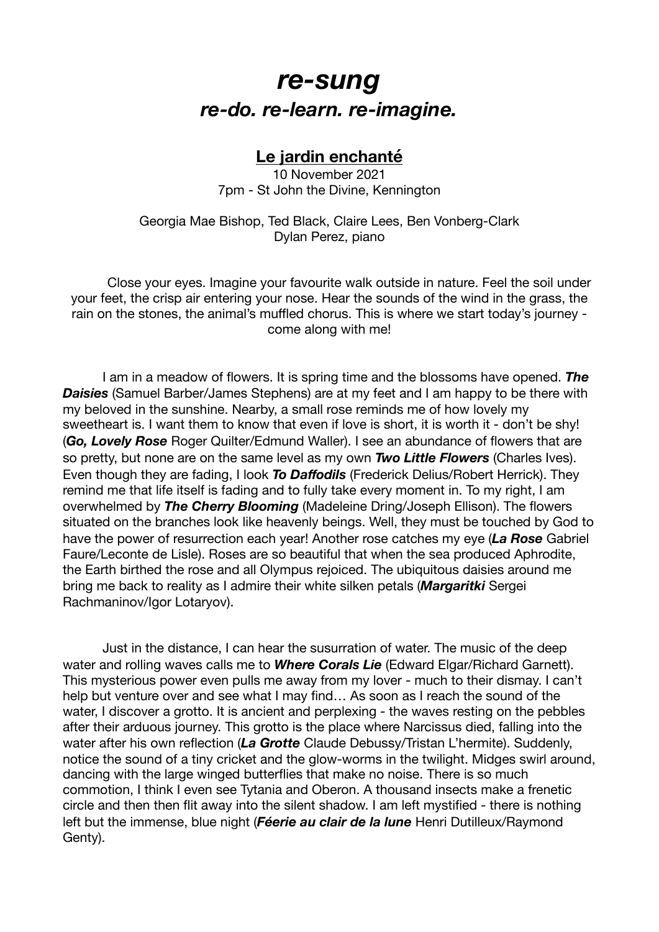## *re-sung re-do. re-learn. re-imagine.*

## **Le jardin enchanté**

10 November 2021 7pm - St John the Divine, Kennington

Georgia Mae Bishop, Ted Black, Claire Lees, Ben Vonberg-Clark Dylan Perez, piano

Close your eyes. Imagine your favourite walk outside in nature. Feel the soil under your feet, the crisp air entering your nose. Hear the sounds of the wind in the grass, the rain on the stones, the animal's muffled chorus. This is where we start today's journey come along with me!

I am in a meadow of flowers. It is spring time and the blossoms have opened. *The*  **Daisies** (Samuel Barber/James Stephens) are at my feet and I am happy to be there with my beloved in the sunshine. Nearby, a small rose reminds me of how lovely my sweetheart is. I want them to know that even if love is short, it is worth it - don't be shy! (*Go, Lovely Rose* Roger Quilter/Edmund Waller). I see an abundance of flowers that are so pretty, but none are on the same level as my own *Two Little Flowers* (Charles Ives). Even though they are fading, I look *To Daffodils* (Frederick Delius/Robert Herrick). They remind me that life itself is fading and to fully take every moment in. To my right, I am overwhelmed by *The Cherry Blooming* (Madeleine Dring/Joseph Ellison). The flowers situated on the branches look like heavenly beings. Well, they must be touched by God to have the power of resurrection each year! Another rose catches my eye (*La Rose* Gabriel Faure/Leconte de Lisle). Roses are so beautiful that when the sea produced Aphrodite, the Earth birthed the rose and all Olympus rejoiced. The ubiquitous daisies around me bring me back to reality as I admire their white silken petals (*Margaritki* Sergei Rachmaninov/Igor Lotaryov).

Just in the distance, I can hear the susurration of water. The music of the deep water and rolling waves calls me to *Where Corals Lie* (Edward Elgar/Richard Garnett). This mysterious power even pulls me away from my lover - much to their dismay. I can't help but venture over and see what I may find… As soon as I reach the sound of the water, I discover a grotto. It is ancient and perplexing - the waves resting on the pebbles after their arduous journey. This grotto is the place where Narcissus died, falling into the water after his own reflection (*La Grotte* Claude Debussy/Tristan L'hermite). Suddenly, notice the sound of a tiny cricket and the glow-worms in the twilight. Midges swirl around, dancing with the large winged butterflies that make no noise. There is so much commotion, I think I even see Tytania and Oberon. A thousand insects make a frenetic circle and then then flit away into the silent shadow. I am left mystified - there is nothing left but the immense, blue night (*Féerie au clair de la lune* Henri Dutilleux/Raymond Genty).